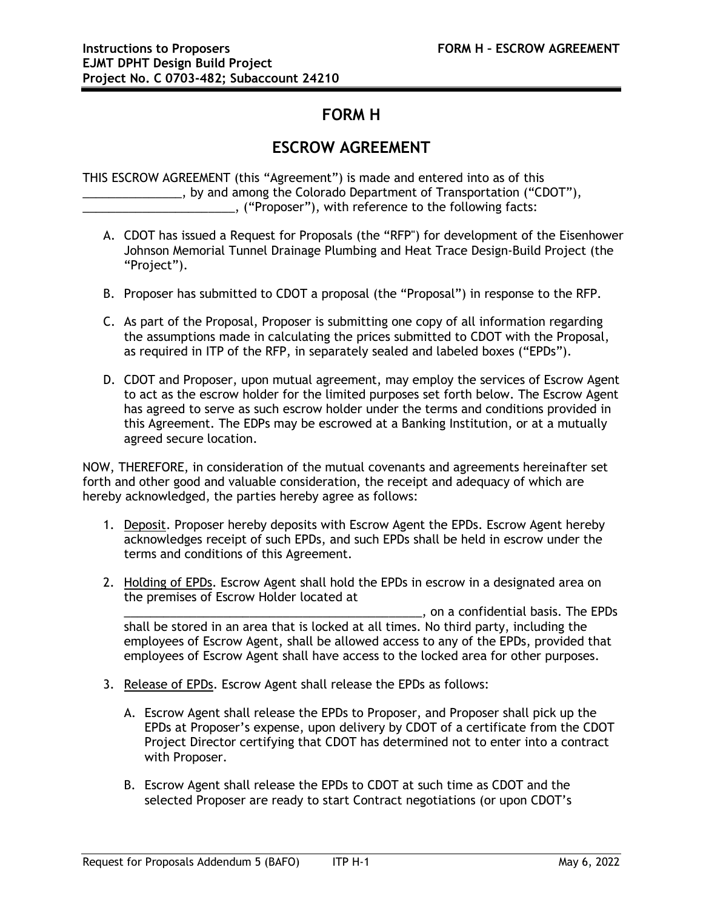## **FORM H**

## **ESCROW AGREEMENT**

THIS ESCROW AGREEMENT (this "Agreement") is made and entered into as of this \_\_\_\_\_\_\_\_\_\_\_\_\_\_\_, by and among the Colorado Department of Transportation ("CDOT"), \_\_\_\_\_\_\_\_\_\_\_\_\_\_\_\_\_\_\_\_\_\_\_, ("Proposer"), with reference to the following facts:

- A. CDOT has issued a Request for Proposals (the "RFP") for development of the Eisenhower Johnson Memorial Tunnel Drainage Plumbing and Heat Trace Design-Build Project (the "Project").
- B. Proposer has submitted to CDOT a proposal (the "Proposal") in response to the RFP.
- C. As part of the Proposal, Proposer is submitting one copy of all information regarding the assumptions made in calculating the prices submitted to CDOT with the Proposal, as required in ITP of the RFP, in separately sealed and labeled boxes ("EPDs").
- D. CDOT and Proposer, upon mutual agreement, may employ the services of Escrow Agent to act as the escrow holder for the limited purposes set forth below. The Escrow Agent has agreed to serve as such escrow holder under the terms and conditions provided in this Agreement. The EDPs may be escrowed at a Banking Institution, or at a mutually agreed secure location.

NOW, THEREFORE, in consideration of the mutual covenants and agreements hereinafter set forth and other good and valuable consideration, the receipt and adequacy of which are hereby acknowledged, the parties hereby agree as follows:

- 1. Deposit. Proposer hereby deposits with Escrow Agent the EPDs. Escrow Agent hereby acknowledges receipt of such EPDs, and such EPDs shall be held in escrow under the terms and conditions of this Agreement.
- 2. Holding of EPDs. Escrow Agent shall hold the EPDs in escrow in a designated area on the premises of Escrow Holder located at

\_\_\_\_\_\_\_\_\_\_\_\_\_\_\_\_\_\_\_\_\_\_\_\_\_\_\_\_\_\_\_\_\_\_\_\_\_\_\_\_\_\_\_\_\_, on a confidential basis. The EPDs shall be stored in an area that is locked at all times. No third party, including the employees of Escrow Agent, shall be allowed access to any of the EPDs, provided that employees of Escrow Agent shall have access to the locked area for other purposes.

- 3. Release of EPDs. Escrow Agent shall release the EPDs as follows:
	- A. Escrow Agent shall release the EPDs to Proposer, and Proposer shall pick up the EPDs at Proposer's expense, upon delivery by CDOT of a certificate from the CDOT Project Director certifying that CDOT has determined not to enter into a contract with Proposer.
	- B. Escrow Agent shall release the EPDs to CDOT at such time as CDOT and the selected Proposer are ready to start Contract negotiations (or upon CDOT's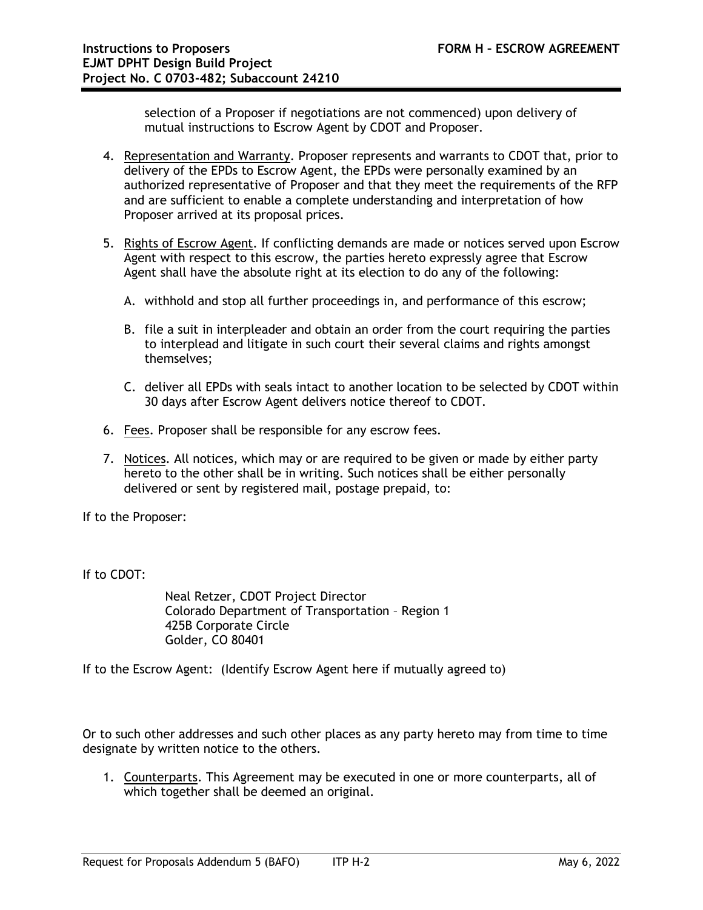selection of a Proposer if negotiations are not commenced) upon delivery of mutual instructions to Escrow Agent by CDOT and Proposer.

- 4. Representation and Warranty. Proposer represents and warrants to CDOT that, prior to delivery of the EPDs to Escrow Agent, the EPDs were personally examined by an authorized representative of Proposer and that they meet the requirements of the RFP and are sufficient to enable a complete understanding and interpretation of how Proposer arrived at its proposal prices.
- 5. Rights of Escrow Agent. If conflicting demands are made or notices served upon Escrow Agent with respect to this escrow, the parties hereto expressly agree that Escrow Agent shall have the absolute right at its election to do any of the following:
	- A. withhold and stop all further proceedings in, and performance of this escrow;
	- B. file a suit in interpleader and obtain an order from the court requiring the parties to interplead and litigate in such court their several claims and rights amongst themselves;
	- C. deliver all EPDs with seals intact to another location to be selected by CDOT within 30 days after Escrow Agent delivers notice thereof to CDOT.
- 6. Fees. Proposer shall be responsible for any escrow fees.
- 7. Notices. All notices, which may or are required to be given or made by either party hereto to the other shall be in writing. Such notices shall be either personally delivered or sent by registered mail, postage prepaid, to:

If to the Proposer:

If to CDOT:

Neal Retzer, CDOT Project Director Colorado Department of Transportation – Region 1 425B Corporate Circle Golder, CO 80401

If to the Escrow Agent: (Identify Escrow Agent here if mutually agreed to)

Or to such other addresses and such other places as any party hereto may from time to time designate by written notice to the others.

1. Counterparts. This Agreement may be executed in one or more counterparts, all of which together shall be deemed an original.